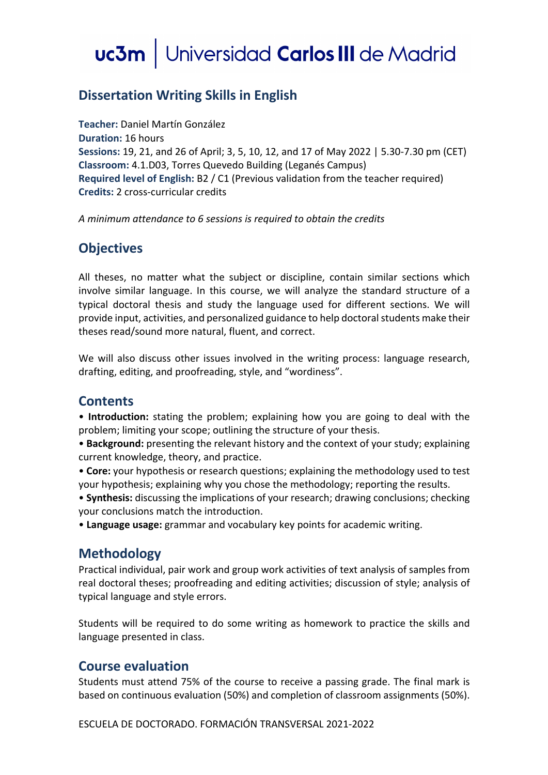# uc3m | Universidad Carlos III de Madrid

## **Dissertation Writing Skills in English**

**Teacher:** Daniel Martín González **Duration:** 16 hours **Sessions:** 19, 21, and 26 of April; 3, 5, 10, 12, and 17 of May 2022 | 5.30-7.30 pm (CET) **Classroom:** 4.1.D03, Torres Quevedo Building (Leganés Campus) **Required level of English:** B2 / C1 (Previous validation from the teacher required) **Credits:** 2 cross-curricular credits

*A minimum attendance to 6 sessions is required to obtain the credits*

### **Objectives**

All theses, no matter what the subject or discipline, contain similar sections which involve similar language. In this course, we will analyze the standard structure of a typical doctoral thesis and study the language used for different sections. We will provide input, activities, and personalized guidance to help doctoral students make their theses read/sound more natural, fluent, and correct.

We will also discuss other issues involved in the writing process: language research, drafting, editing, and proofreading, style, and "wordiness".

### **Contents**

• **Introduction:** stating the problem; explaining how you are going to deal with the problem; limiting your scope; outlining the structure of your thesis.

• **Background:** presenting the relevant history and the context of your study; explaining current knowledge, theory, and practice.

• **Core:** your hypothesis or research questions; explaining the methodology used to test your hypothesis; explaining why you chose the methodology; reporting the results.

• **Synthesis:** discussing the implications of your research; drawing conclusions; checking your conclusions match the introduction.

• **Language usage:** grammar and vocabulary key points for academic writing.

### **Methodology**

Practical individual, pair work and group work activities of text analysis of samples from real doctoral theses; proofreading and editing activities; discussion of style; analysis of typical language and style errors.

Students will be required to do some writing as homework to practice the skills and language presented in class.

#### **Course evaluation**

Students must attend 75% of the course to receive a passing grade. The final mark is based on continuous evaluation (50%) and completion of classroom assignments (50%).